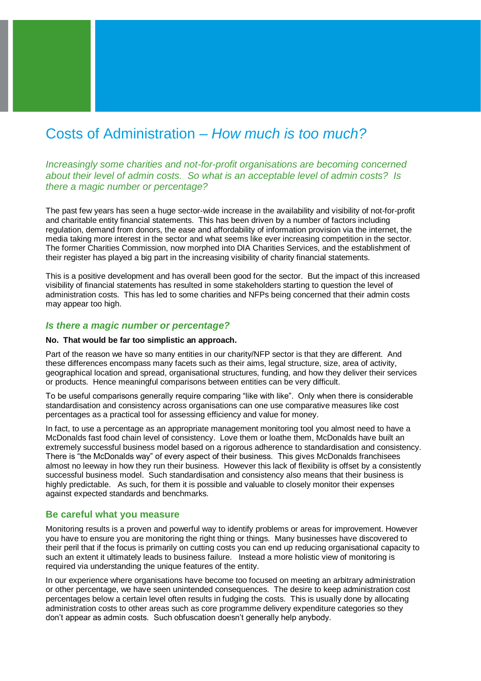# Costs of Administration – *How much is too much?*

*Increasingly some charities and not-for-profit organisations are becoming concerned about their level of admin costs. So what is an acceptable level of admin costs? Is there a magic number or percentage?* 

The past few years has seen a huge sector-wide increase in the availability and visibility of not-for-profit and charitable entity financial statements. This has been driven by a number of factors including regulation, demand from donors, the ease and affordability of information provision via the internet, the media taking more interest in the sector and what seems like ever increasing competition in the sector. The former Charities Commission, now morphed into DIA Charities Services, and the establishment of their register has played a big part in the increasing visibility of charity financial statements.

This is a positive development and has overall been good for the sector. But the impact of this increased visibility of financial statements has resulted in some stakeholders starting to question the level of administration costs. This has led to some charities and NFPs being concerned that their admin costs may appear too high.

## *Is there a magic number or percentage?*

#### **No. That would be far too simplistic an approach.**

Part of the reason we have so many entities in our charity/NFP sector is that they are different. And these differences encompass many facets such as their aims, legal structure, size, area of activity, geographical location and spread, organisational structures, funding, and how they deliver their services or products. Hence meaningful comparisons between entities can be very difficult.

To be useful comparisons generally require comparing "like with like". Only when there is considerable standardisation and consistency across organisations can one use comparative measures like cost percentages as a practical tool for assessing efficiency and value for money.

In fact, to use a percentage as an appropriate management monitoring tool you almost need to have a McDonalds fast food chain level of consistency. Love them or loathe them, McDonalds have built an extremely successful business model based on a rigorous adherence to standardisation and consistency. There is "the McDonalds way" of every aspect of their business. This gives McDonalds franchisees almost no leeway in how they run their business. However this lack of flexibility is offset by a consistently successful business model. Such standardisation and consistency also means that their business is highly predictable. As such, for them it is possible and valuable to closely monitor their expenses against expected standards and benchmarks.

#### **Be careful what you measure**

Monitoring results is a proven and powerful way to identify problems or areas for improvement. However you have to ensure you are monitoring the right thing or things. Many businesses have discovered to their peril that if the focus is primarily on cutting costs you can end up reducing organisational capacity to such an extent it ultimately leads to business failure. Instead a more holistic view of monitoring is required via understanding the unique features of the entity.

In our experience where organisations have become too focused on meeting an arbitrary administration or other percentage, we have seen unintended consequences. The desire to keep administration cost percentages below a certain level often results in fudging the costs. This is usually done by allocating administration costs to other areas such as core programme delivery expenditure categories so they don't appear as admin costs. Such obfuscation doesn't generally help anybody.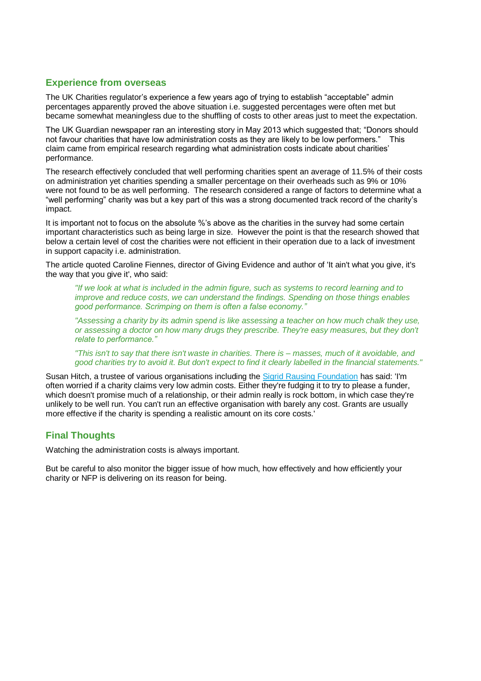## **Experience from overseas**

The UK Charities regulator's experience a few years ago of trying to establish "acceptable" admin percentages apparently proved the above situation i.e. suggested percentages were often met but became somewhat meaningless due to the shuffling of costs to other areas just to meet the expectation.

The UK Guardian newspaper ran an interesting story in May 2013 which suggested that; "Donors should not favour charities that have low administration costs as they are likely to be low performers." This claim came from empirical research regarding what administration costs indicate about charities' performance.

The research effectively concluded that well performing charities spent an average of 11.5% of their costs on administration yet charities spending a smaller percentage on their overheads such as 9% or 10% were not found to be as well performing. The research considered a range of factors to determine what a "well performing" charity was but a key part of this was a strong documented track record of the charity's impact.

It is important not to focus on the absolute %'s above as the charities in the survey had some certain important characteristics such as being large in size. However the point is that the research showed that below a certain level of cost the charities were not efficient in their operation due to a lack of investment in support capacity i.e. administration.

The article quoted Caroline Fiennes, director of Giving Evidence and author of 'It ain't what you give, it's the way that you give it', who said:

*"If we look at what is included in the admin figure, such as systems to record learning and to improve and reduce costs, we can understand the findings. Spending on those things enables good performance. Scrimping on them is often a false economy."*

*"Assessing a charity by its admin spend is like assessing a teacher on how much chalk they use, or assessing a doctor on how many drugs they prescribe. They're easy measures, but they don't relate to performance."*

*"This isn't to say that there isn't waste in charities. There is – masses, much of it avoidable, and good charities try to avoid it. But don't expect to find it clearly labelled in the financial statements."*

Susan Hitch, a trustee of various organisations including the [Sigrid Rausing Foundation](http://www.sigrid-rausing-trust.org/) has said: 'I'm often worried if a charity claims very low admin costs. Either they're fudging it to try to please a funder, which doesn't promise much of a relationship, or their admin really is rock bottom, in which case they're unlikely to be well run. You can't run an effective organisation with barely any cost. Grants are usually more effective if the charity is spending a realistic amount on its core costs.'

# **Final Thoughts**

Watching the administration costs is always important.

But be careful to also monitor the bigger issue of how much, how effectively and how efficiently your charity or NFP is delivering on its reason for being.